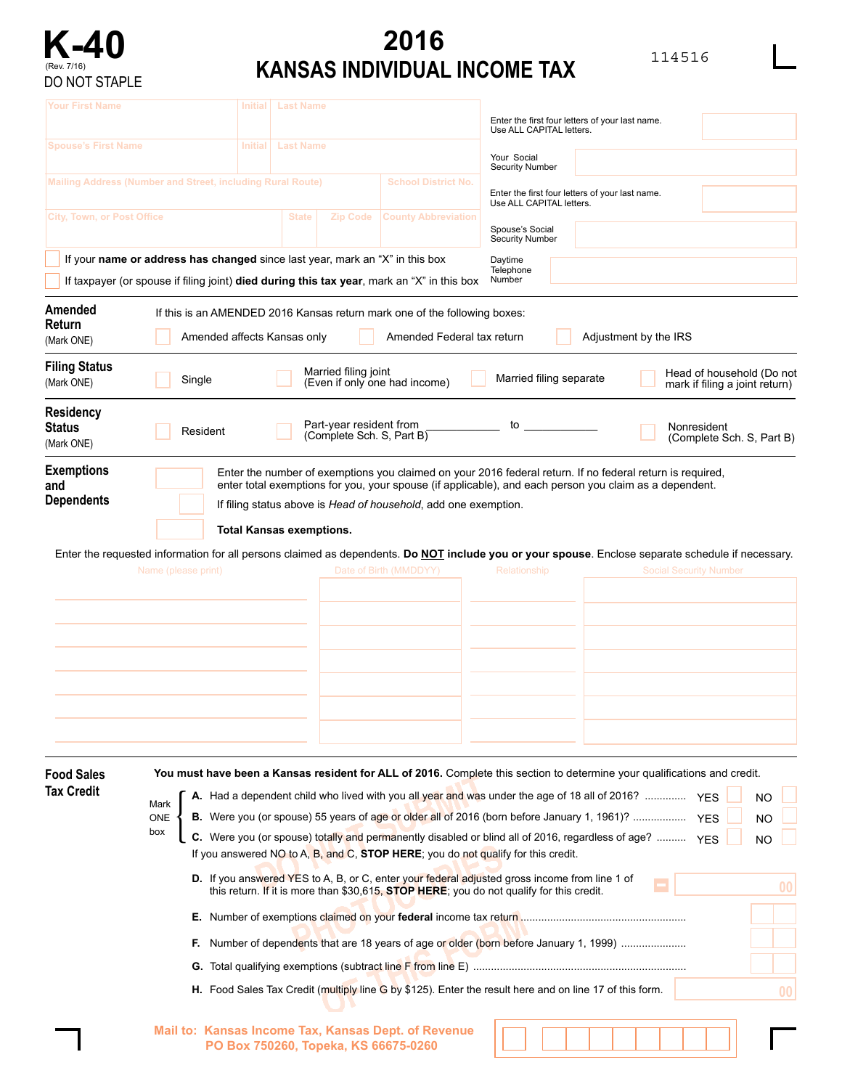

## **2016 KANSAS INDIVIDUAL INCOME TAX** 114516

| Your First Name<br><b>Spouse's First Name</b> |                                                                                                                                                                 | <b>Initial</b> | <b>Last Name</b>                                                                                                                                                                                                                                                                                                                                                                                                                                                                                                                                                                                                                                                                                                                                                                                                                                                                                                                              |                            | Enter the first four letters of your last name.                             |  |                               |                                                             |  |  |  |  |
|-----------------------------------------------|-----------------------------------------------------------------------------------------------------------------------------------------------------------------|----------------|-----------------------------------------------------------------------------------------------------------------------------------------------------------------------------------------------------------------------------------------------------------------------------------------------------------------------------------------------------------------------------------------------------------------------------------------------------------------------------------------------------------------------------------------------------------------------------------------------------------------------------------------------------------------------------------------------------------------------------------------------------------------------------------------------------------------------------------------------------------------------------------------------------------------------------------------------|----------------------------|-----------------------------------------------------------------------------|--|-------------------------------|-------------------------------------------------------------|--|--|--|--|
|                                               |                                                                                                                                                                 | <b>Initial</b> | <b>Last Name</b>                                                                                                                                                                                                                                                                                                                                                                                                                                                                                                                                                                                                                                                                                                                                                                                                                                                                                                                              |                            | Use ALL CAPITAL letters.                                                    |  |                               |                                                             |  |  |  |  |
|                                               | Mailing Address (Number and Street, including Rural Route)                                                                                                      |                |                                                                                                                                                                                                                                                                                                                                                                                                                                                                                                                                                                                                                                                                                                                                                                                                                                                                                                                                               | <b>School District No.</b> | Your Social<br><b>Security Number</b>                                       |  |                               |                                                             |  |  |  |  |
|                                               |                                                                                                                                                                 |                |                                                                                                                                                                                                                                                                                                                                                                                                                                                                                                                                                                                                                                                                                                                                                                                                                                                                                                                                               |                            | Enter the first four letters of your last name.<br>Use ALL CAPITAL letters. |  |                               |                                                             |  |  |  |  |
| <b>City, Town, or Post Office</b>             |                                                                                                                                                                 |                | <b>State</b><br><b>Zip Code</b>                                                                                                                                                                                                                                                                                                                                                                                                                                                                                                                                                                                                                                                                                                                                                                                                                                                                                                               | <b>County Abbreviation</b> | Spouse's Social<br><b>Security Number</b>                                   |  |                               |                                                             |  |  |  |  |
|                                               |                                                                                                                                                                 |                | If your name or address has changed since last year, mark an "X" in this box<br>If taxpayer (or spouse if filing joint) died during this tax year, mark an "X" in this box                                                                                                                                                                                                                                                                                                                                                                                                                                                                                                                                                                                                                                                                                                                                                                    |                            | Daytime<br>Telephone<br>Number                                              |  |                               |                                                             |  |  |  |  |
| Amended<br>Return<br>(Mark ONE)               | If this is an AMENDED 2016 Kansas return mark one of the following boxes:<br>Amended affects Kansas only<br>Amended Federal tax return<br>Adjustment by the IRS |                |                                                                                                                                                                                                                                                                                                                                                                                                                                                                                                                                                                                                                                                                                                                                                                                                                                                                                                                                               |                            |                                                                             |  |                               |                                                             |  |  |  |  |
| <b>Filing Status</b><br>(Mark ONE)            | Single                                                                                                                                                          |                | Married filing joint<br>(Even if only one had income)                                                                                                                                                                                                                                                                                                                                                                                                                                                                                                                                                                                                                                                                                                                                                                                                                                                                                         |                            | Married filing separate                                                     |  |                               | Head of household (Do not<br>mark if filing a joint return) |  |  |  |  |
| Residency<br><b>Status</b><br>(Mark ONE)      | Resident                                                                                                                                                        |                | Part-year resident from<br>(Complete Sch. S, Part B)                                                                                                                                                                                                                                                                                                                                                                                                                                                                                                                                                                                                                                                                                                                                                                                                                                                                                          |                            | to                                                                          |  | Nonresident                   | (Complete Sch. S, Part B)                                   |  |  |  |  |
|                                               | Name (please print)                                                                                                                                             |                | If filing status above is Head of household, add one exemption.<br><b>Total Kansas exemptions.</b><br>Enter the requested information for all persons claimed as dependents. Do NOT include you or your spouse. Enclose separate schedule if necessary.                                                                                                                                                                                                                                                                                                                                                                                                                                                                                                                                                                                                                                                                                       | Date of Birth (MMDDYY)     | Relationship                                                                |  | <b>Social Security Number</b> |                                                             |  |  |  |  |
| <b>Food Sales</b><br>Tax Credit               | Mark<br>ONE<br>box                                                                                                                                              |                | You must have been a Kansas resident for ALL of 2016. Complete this section to determine your qualifications and credit.<br>A. Had a dependent child who lived with you all year and was under the age of 18 all of 2016?  YES<br>B. Were you (or spouse) 55 years of age or older all of 2016 (born before January 1, 1961)?<br>C. Were you (or spouse) totally and permanently disabled or blind all of 2016, regardless of age?  YES<br>If you answered NO to A, B, and C, STOP HERE; you do not qualify for this credit.<br><b>D.</b> If you answered YES to A, B, or C, enter your federal adjusted gross income from line 1 of<br>this return. If it is more than \$30,615, STOP HERE; you do not qualify for this credit.<br><b>F.</b> Number of dependents that are 18 years of age or older (born before January 1, 1999)<br>H. Food Sales Tax Credit (multiply line G by \$125). Enter the result here and on line 17 of this form. |                            |                                                                             |  | <b>YES</b>                    | <b>NO</b><br><b>NO</b><br><b>NO</b><br>00<br>00             |  |  |  |  |
|                                               |                                                                                                                                                                 |                | Mail to: Kansas Income Tax, Kansas Dept. of Revenue<br>PO Box 750260, Topeka, KS 66675-0260                                                                                                                                                                                                                                                                                                                                                                                                                                                                                                                                                                                                                                                                                                                                                                                                                                                   |                            |                                                                             |  |                               |                                                             |  |  |  |  |